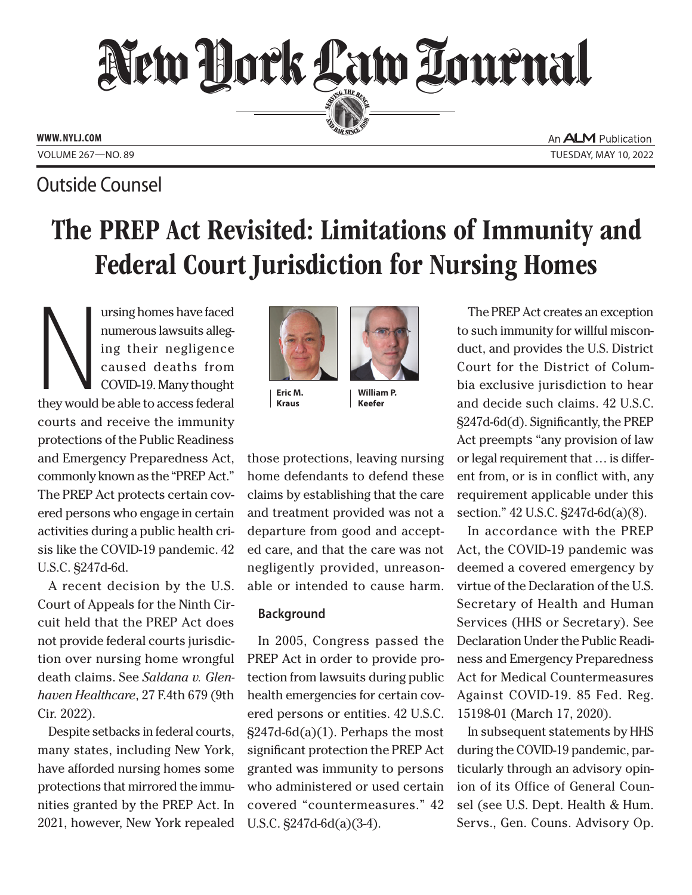

An **ALM** Publication VOLUME 267—NO. 89 TUESDAY, MAY 10, 2022

# Outside Counsel

# The PREP Act Revisited: Limitations of Immunity and Federal Court Jurisdiction for Nursing Homes

N ursing homes have faced numerous lawsuits alleging their negligence caused deaths from COVID-19. Many thought they would be able to access federal courts and receive the immunity protections of the Public Readiness and Emergency Preparedness Act, commonly known as the "PREP Act." The PREP Act protects certain covered persons who engage in certain activities during a public health crisis like the COVID-19 pandemic. 42 U.S.C. §247d-6d.

A recent decision by the U.S. Court of Appeals for the Ninth Circuit held that the PREP Act does not provide federal courts jurisdiction over nursing home wrongful death claims. See *Saldana v. Glenhaven Healthcare*, 27 F.4th 679 (9th Cir. 2022).

Despite setbacks in federal courts, many states, including New York, have afforded nursing homes some protections that mirrored the immunities granted by the PREP Act. In 2021, however, New York repealed



**Eric M. Kraus**

those protections, leaving nursing home defendants to defend these claims by establishing that the care and treatment provided was not a departure from good and accepted care, and that the care was not negligently provided, unreasonable or intended to cause harm.

**William P. Keefer**

## **Background**

In 2005, Congress passed the PREP Act in order to provide protection from lawsuits during public health emergencies for certain covered persons or entities. 42 U.S.C.  $\S247d-6d(a)(1)$ . Perhaps the most significant protection the PREP Act granted was immunity to persons who administered or used certain covered "countermeasures." 42 U.S.C. §247d-6d(a)(3-4).

The PREP Act creates an exception to such immunity for willful misconduct, and provides the U.S. District Court for the District of Columbia exclusive jurisdiction to hear and decide such claims. 42 U.S.C. §247d-6d(d). Significantly, the PREP Act preempts "any provision of law or legal requirement that … is different from, or is in conflict with, any requirement applicable under this section." 42 U.S.C. §247d-6d(a)(8).

In accordance with the PREP Act, the COVID-19 pandemic was deemed a covered emergency by virtue of the Declaration of the U.S. Secretary of Health and Human Services (HHS or Secretary). See Declaration Under the Public Readiness and Emergency Preparedness Act for Medical Countermeasures Against COVID-19. 85 Fed. Reg. 15198-01 (March 17, 2020).

In subsequent statements by HHS during the COVID-19 pandemic, particularly through an advisory opinion of its Office of General Counsel (see U.S. Dept. Health & Hum. Servs., Gen. Couns. Advisory Op.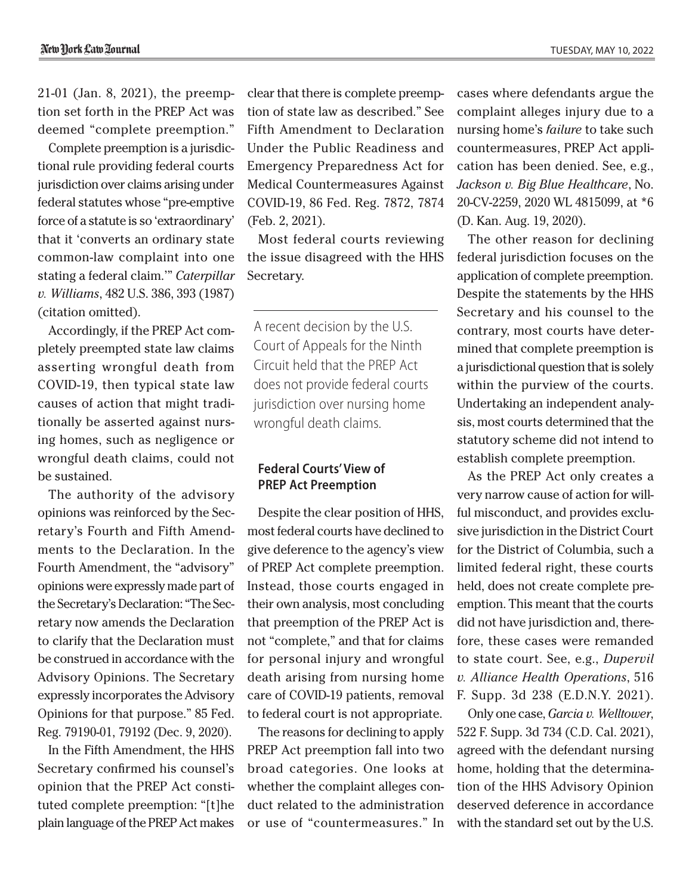21-01 (Jan. 8, 2021), the preemption set forth in the PREP Act was deemed "complete preemption."

Complete preemption is a jurisdictional rule providing federal courts jurisdiction over claims arising under federal statutes whose "pre-emptive force of a statute is so 'extraordinary' that it 'converts an ordinary state common-law complaint into one stating a federal claim.'" *Caterpillar v. Williams*, 482 U.S. 386, 393 (1987) (citation omitted).

Accordingly, if the PREP Act completely preempted state law claims asserting wrongful death from COVID-19, then typical state law causes of action that might traditionally be asserted against nursing homes, such as negligence or wrongful death claims, could not be sustained.

The authority of the advisory opinions was reinforced by the Secretary's Fourth and Fifth Amendments to the Declaration. In the Fourth Amendment, the "advisory" opinions were expressly made part of the Secretary's Declaration: "The Secretary now amends the Declaration to clarify that the Declaration must be construed in accordance with the Advisory Opinions. The Secretary expressly incorporates the Advisory Opinions for that purpose." 85 Fed. Reg. 79190-01, 79192 (Dec. 9, 2020).

In the Fifth Amendment, the HHS Secretary confirmed his counsel's opinion that the PREP Act constituted complete preemption: "[t]he plain language of the PREP Act makes

clear that there is complete preemption of state law as described." See Fifth Amendment to Declaration Under the Public Readiness and Emergency Preparedness Act for Medical Countermeasures Against COVID-19, 86 Fed. Reg. 7872, 7874 (Feb. 2, 2021).

Most federal courts reviewing the issue disagreed with the HHS Secretary.

A recent decision by the U.S. Court of Appeals for the Ninth Circuit held that the PREP Act does not provide federal courts jurisdiction over nursing home wrongful death claims.

### **Federal Courts' View of PREP Act Preemption**

Despite the clear position of HHS, most federal courts have declined to give deference to the agency's view of PREP Act complete preemption. Instead, those courts engaged in their own analysis, most concluding that preemption of the PREP Act is not "complete," and that for claims for personal injury and wrongful death arising from nursing home care of COVID-19 patients, removal to federal court is not appropriate.

The reasons for declining to apply PREP Act preemption fall into two broad categories. One looks at whether the complaint alleges conduct related to the administration or use of "countermeasures." In cases where defendants argue the complaint alleges injury due to a nursing home's *failure* to take such countermeasures, PREP Act application has been denied. See, e.g., *Jackson v. Big Blue Healthcare*, No. 20-CV-2259, 2020 WL 4815099, at \*6 (D. Kan. Aug. 19, 2020).

The other reason for declining federal jurisdiction focuses on the application of complete preemption. Despite the statements by the HHS Secretary and his counsel to the contrary, most courts have determined that complete preemption is a jurisdictional question that is solely within the purview of the courts. Undertaking an independent analysis, most courts determined that the statutory scheme did not intend to establish complete preemption.

As the PREP Act only creates a very narrow cause of action for willful misconduct, and provides exclusive jurisdiction in the District Court for the District of Columbia, such a limited federal right, these courts held, does not create complete preemption. This meant that the courts did not have jurisdiction and, therefore, these cases were remanded to state court. See, e.g., *Dupervil v. Alliance Health Operations*, 516 F. Supp. 3d 238 (E.D.N.Y. 2021).

Only one case, *Garcia v. Welltower*, 522 F. Supp. 3d 734 (C.D. Cal. 2021), agreed with the defendant nursing home, holding that the determination of the HHS Advisory Opinion deserved deference in accordance with the standard set out by the U.S.